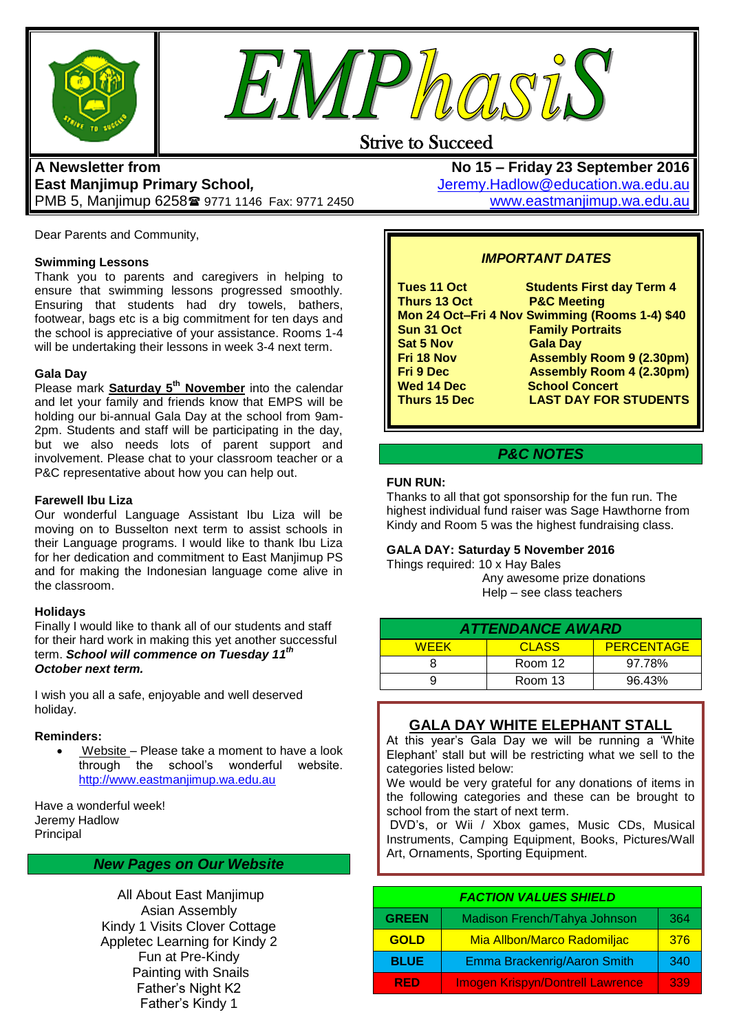



# Strive to Succeed

# **A Newsletter from East Manjimup Primary School***,*  PMB 5, Manjimup 6258 9771 1146 Fax: 9771 2450

Dear Parents and Community,

#### **Swimming Lessons**

Thank you to parents and caregivers in helping to ensure that swimming lessons progressed smoothly. Ensuring that students had dry towels, bathers, footwear, bags etc is a big commitment for ten days and the school is appreciative of your assistance. Rooms 1-4 will be undertaking their lessons in week 3-4 next term.

#### **Gala Day**

Please mark **Saturday 5th November** into the calendar and let your family and friends know that EMPS will be holding our bi-annual Gala Day at the school from 9am-2pm. Students and staff will be participating in the day, but we also needs lots of parent support and involvement. Please chat to your classroom teacher or a P&C representative about how you can help out.

#### **Farewell Ibu Liza**

Our wonderful Language Assistant Ibu Liza will be moving on to Busselton next term to assist schools in their Language programs. I would like to thank Ibu Liza for her dedication and commitment to East Manjimup PS and for making the Indonesian language come alive in the classroom.

#### **Holidays**

Finally I would like to thank all of our students and staff for their hard work in making this yet another successful term. *School will commence on Tuesday 11 th October next term.* 

I wish you all a safe, enjoyable and well deserved holiday.

#### **Reminders:**

 Website – Please take a moment to have a look through the school's wonderful website. [http://www.eastmanjimup.wa.edu.au](http://www.eastmanjimup.wa.edu.au/)

Have a wonderful week! Jeremy Hadlow Principal

### *New Pages on Our Website*

All About East Manjimup Asian Assembly Kindy 1 Visits Clover Cottage Appletec Learning for Kindy 2 Fun at Pre-Kindy Painting with Snails Father's Night K2 Father's Kindy 1

**No 15 – Friday 23 September 2016** [Jeremy.Hadlow@education.wa.edu.au](mailto:Jeremy.Hadlow@education.wa.edu.au) [www.eastmanjimup.wa.edu.au](http://www.eastmanjimup.wa.edu.au/)

## *IMPORTANT DATES*

| <b>Tues 11 Oct</b>  | <b>Students First day Term 4</b>               |
|---------------------|------------------------------------------------|
| <b>Thurs 13 Oct</b> | <b>P&amp;C Meeting</b>                         |
|                     | Mon 24 Oct-Fri 4 Nov Swimming (Rooms 1-4) \$40 |
| Sun 31 Oct          | <b>Family Portraits</b>                        |
| <b>Sat 5 Nov</b>    | <b>Gala Day</b>                                |
| Fri 18 Nov          | <b>Assembly Room 9 (2.30pm)</b>                |
| <b>Fri 9 Dec</b>    | <b>Assembly Room 4 (2.30pm)</b>                |
| <b>Wed 14 Dec</b>   | <b>School Concert</b>                          |
| <b>Thurs 15 Dec</b> | <b>LAST DAY FOR STUDENTS</b>                   |
|                     |                                                |
|                     |                                                |

### *P&C NOTES*

#### **FUN RUN:**

Thanks to all that got sponsorship for the fun run. The highest individual fund raiser was Sage Hawthorne from Kindy and Room 5 was the highest fundraising class.

#### **GALA DAY: Saturday 5 November 2016**

Things required: 10 x Hay Bales Any awesome prize donations Help – see class teachers

| <b>ATTENDANCE AWARD</b> |              |                   |  |  |
|-------------------------|--------------|-------------------|--|--|
| <b>WEEK</b>             | <b>CLASS</b> | <b>PERCENTAGE</b> |  |  |
|                         | Room 12      | 97.78%            |  |  |
|                         | Room 13      | 96.43%            |  |  |

## **GALA DAY WHITE ELEPHANT STALL**

At this year's Gala Day we will be running a 'White Elephant' stall but will be restricting what we sell to the categories listed below:

We would be very grateful for any donations of items in the following categories and these can be brought to school from the start of next term.

DVD's, or Wii / Xbox games, Music CDs, Musical Instruments, Camping Equipment, Books, Pictures/Wall Art, Ornaments, Sporting Equipment.

# *FACTION VALUES SHIELD*

| <b>GREEN</b> | Madison French/Tahya Johnson            | 364 |
|--------------|-----------------------------------------|-----|
| <b>GOLD</b>  | Mia Allbon/Marco Radomiljac             | 376 |
| <b>BLUE</b>  | Emma Brackenrig/Aaron Smith             | 340 |
| <b>RED</b>   | <b>Imogen Krispyn/Dontrell Lawrence</b> | 339 |